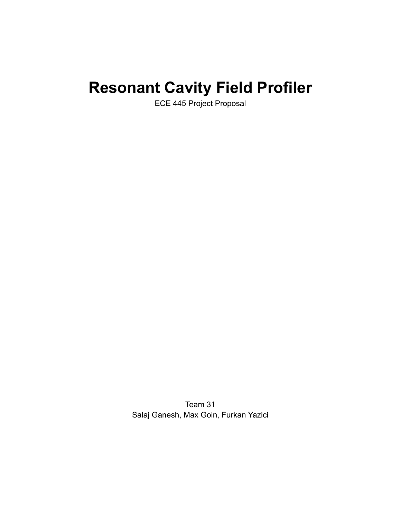# **Resonant Cavity Field Profiler**

ECE 445 Project Proposal

Team 31 Salaj Ganesh, Max Goin, Furkan Yazici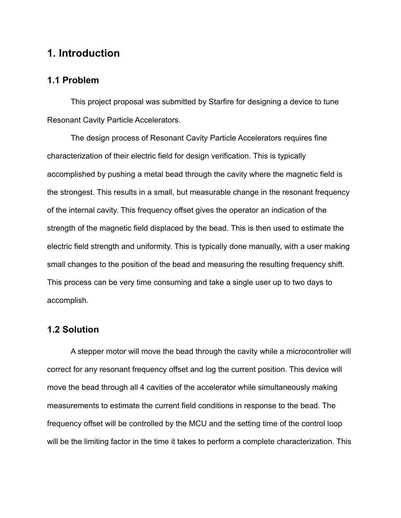## **1. Introduction**

#### **1.1 Problem**

This project proposal was submitted by Starfire for designing a device to tune Resonant Cavity Particle Accelerators.

The design process of Resonant Cavity Particle Accelerators requires fine characterization of their electric field for design verification. This is typically accomplished by pushing a metal bead through the cavity where the magnetic field is the strongest. This results in a small, but measurable change in the resonant frequency of the internal cavity. This frequency offset gives the operator an indication of the strength of the magnetic field displaced by the bead. This is then used to estimate the electric field strength and uniformity. This is typically done manually, with a user making small changes to the position of the bead and measuring the resulting frequency shift. This process can be very time consuming and take a single user up to two days to accomplish.

#### **1.2 Solution**

A stepper motor will move the bead through the cavity while a microcontroller will correct for any resonant frequency offset and log the current position. This device will move the bead through all 4 cavities of the accelerator while simultaneously making measurements to estimate the current field conditions in response to the bead. The frequency offset will be controlled by the MCU and the setting time of the control loop will be the limiting factor in the time it takes to perform a complete characterization. This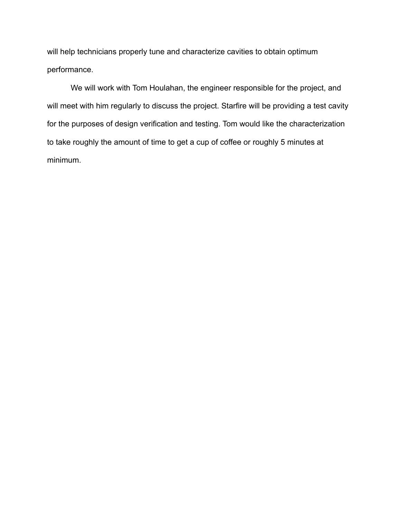will help technicians properly tune and characterize cavities to obtain optimum performance.

We will work with Tom Houlahan, the engineer responsible for the project, and will meet with him regularly to discuss the project. Starfire will be providing a test cavity for the purposes of design verification and testing. Tom would like the characterization to take roughly the amount of time to get a cup of coffee or roughly 5 minutes at minimum.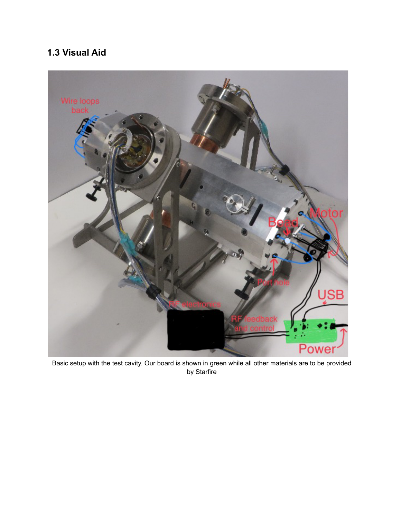# **1.3 Visual Aid**



Basic setup with the test cavity. Our board is shown in green while all other materials are to be provided by Starfire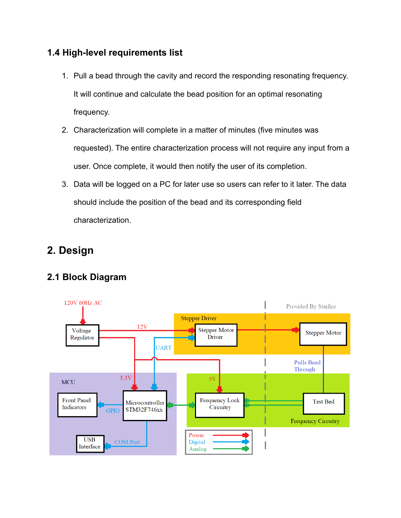# **1.4 High-level requirements list**

- 1. Pull a bead through the cavity and record the responding resonating frequency. It will continue and calculate the bead position for an optimal resonating frequency.
- 2. Characterization will complete in a matter of minutes (five minutes was requested). The entire characterization process will not require any input from a user. Once complete, it would then notify the user of its completion.
- 3. Data will be logged on a PC for later use so users can refer to it later. The data should include the position of the bead and its corresponding field characterization.

# **2. Design**

# **2.1 Block Diagram**

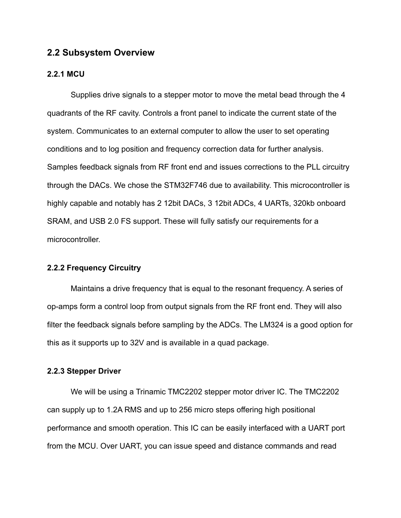#### **2.2 Subsystem Overview**

#### **2.2.1 MCU**

Supplies drive signals to a stepper motor to move the metal bead through the 4 quadrants of the RF cavity. Controls a front panel to indicate the current state of the system. Communicates to an external computer to allow the user to set operating conditions and to log position and frequency correction data for further analysis. Samples feedback signals from RF front end and issues corrections to the PLL circuitry through the DACs. We chose the STM32F746 due to availability. This microcontroller is highly capable and notably has 2 12bit DACs, 3 12bit ADCs, 4 UARTs, 320kb onboard SRAM, and USB 2.0 FS support. These will fully satisfy our requirements for a microcontroller.

#### **2.2.2 Frequency Circuitry**

Maintains a drive frequency that is equal to the resonant frequency. A series of op-amps form a control loop from output signals from the RF front end. They will also filter the feedback signals before sampling by the ADCs. The LM324 is a good option for this as it supports up to 32V and is available in a quad package.

#### **2.2.3 Stepper Driver**

We will be using a Trinamic TMC2202 stepper motor driver IC. The TMC2202 can supply up to 1.2A RMS and up to 256 micro steps offering high positional performance and smooth operation. This IC can be easily interfaced with a UART port from the MCU. Over UART, you can issue speed and distance commands and read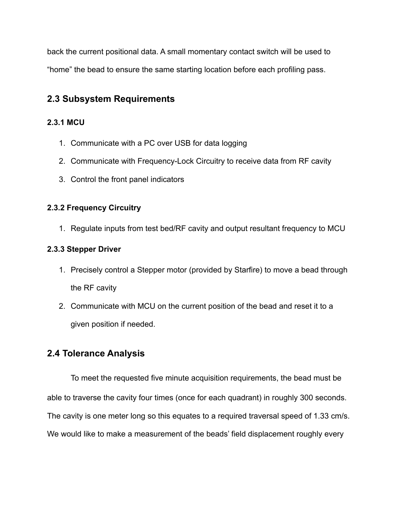back the current positional data. A small momentary contact switch will be used to "home" the bead to ensure the same starting location before each profiling pass.

# **2.3 Subsystem Requirements**

#### **2.3.1 MCU**

- 1. Communicate with a PC over USB for data logging
- 2. Communicate with Frequency-Lock Circuitry to receive data from RF cavity
- 3. Control the front panel indicators

#### **2.3.2 Frequency Circuitry**

1. Regulate inputs from test bed/RF cavity and output resultant frequency to MCU

#### **2.3.3 Stepper Driver**

- 1. Precisely control a Stepper motor (provided by Starfire) to move a bead through the RF cavity
- 2. Communicate with MCU on the current position of the bead and reset it to a given position if needed.

## **2.4 Tolerance Analysis**

To meet the requested five minute acquisition requirements, the bead must be able to traverse the cavity four times (once for each quadrant) in roughly 300 seconds. The cavity is one meter long so this equates to a required traversal speed of 1.33 cm/s. We would like to make a measurement of the beads' field displacement roughly every